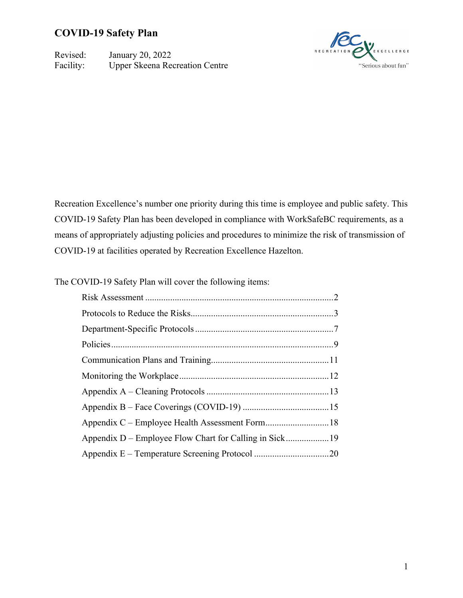Revised: January 20, 2022 Facility: Upper Skeena Recreation Centre



Recreation Excellence's number one priority during this time is employee and public safety. This COVID-19 Safety Plan has been developed in compliance with WorkSafeBC requirements, as a means of appropriately adjusting policies and procedures to minimize the risk of transmission of COVID-19 at facilities operated by Recreation Excellence Hazelton.

The COVID-19 Safety Plan will cover the following items: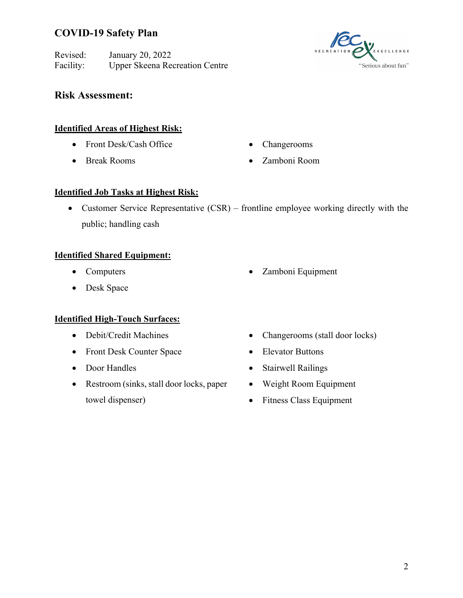Revised: January 20, 2022 Facility: Upper Skeena Recreation Centre



### **Risk Assessment:**

#### **Identified Areas of Highest Risk:**

- Front Desk/Cash Office
- Break Rooms
- Changerooms
- Zamboni Room

#### **Identified Job Tasks at Highest Risk:**

• Customer Service Representative (CSR) – frontline employee working directly with the public; handling cash

### **Identified Shared Equipment:**

- Computers
- Desk Space

### **Identified High-Touch Surfaces:**

- Debit/Credit Machines
- Front Desk Counter Space
- Door Handles
- Restroom (sinks, stall door locks, paper towel dispenser)
- Zamboni Equipment
- Changerooms (stall door locks)
- Elevator Buttons
- Stairwell Railings
- Weight Room Equipment
- Fitness Class Equipment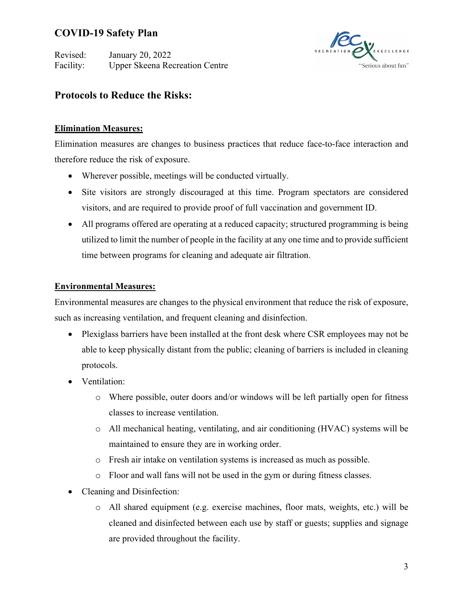Revised: January 20, 2022 Facility: Upper Skeena Recreation Centre



## **Protocols to Reduce the Risks:**

### **Elimination Measures:**

Elimination measures are changes to business practices that reduce face-to-face interaction and therefore reduce the risk of exposure.

- Wherever possible, meetings will be conducted virtually.
- Site visitors are strongly discouraged at this time. Program spectators are considered visitors, and are required to provide proof of full vaccination and government ID.
- All programs offered are operating at a reduced capacity; structured programming is being utilized to limit the number of people in the facility at any one time and to provide sufficient time between programs for cleaning and adequate air filtration.

### **Environmental Measures:**

Environmental measures are changes to the physical environment that reduce the risk of exposure, such as increasing ventilation, and frequent cleaning and disinfection.

- Plexiglass barriers have been installed at the front desk where CSR employees may not be able to keep physically distant from the public; cleaning of barriers is included in cleaning protocols.
- Ventilation:
	- o Where possible, outer doors and/or windows will be left partially open for fitness classes to increase ventilation.
	- o All mechanical heating, ventilating, and air conditioning (HVAC) systems will be maintained to ensure they are in working order.
	- o Fresh air intake on ventilation systems is increased as much as possible.
	- o Floor and wall fans will not be used in the gym or during fitness classes.
- Cleaning and Disinfection:
	- o All shared equipment (e.g. exercise machines, floor mats, weights, etc.) will be cleaned and disinfected between each use by staff or guests; supplies and signage are provided throughout the facility.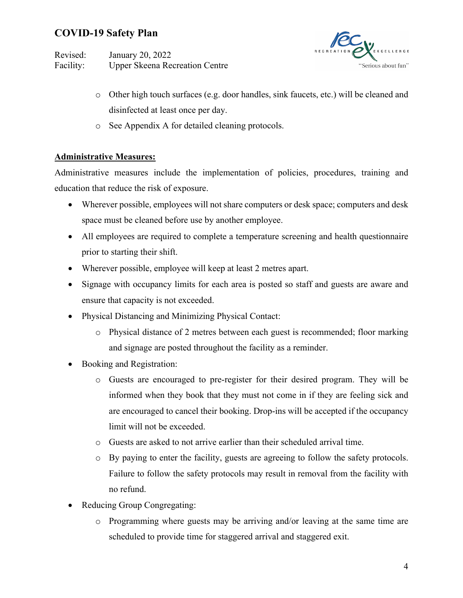Revised: January 20, 2022 Facility: Upper Skeena Recreation Centre



- o Other high touch surfaces (e.g. door handles, sink faucets, etc.) will be cleaned and disinfected at least once per day.
- o See Appendix A for detailed cleaning protocols.

### **Administrative Measures:**

Administrative measures include the implementation of policies, procedures, training and education that reduce the risk of exposure.

- Wherever possible, employees will not share computers or desk space; computers and desk space must be cleaned before use by another employee.
- All employees are required to complete a temperature screening and health questionnaire prior to starting their shift.
- Wherever possible, employee will keep at least 2 metres apart.
- Signage with occupancy limits for each area is posted so staff and guests are aware and ensure that capacity is not exceeded.
- Physical Distancing and Minimizing Physical Contact:
	- o Physical distance of 2 metres between each guest is recommended; floor marking and signage are posted throughout the facility as a reminder.
- Booking and Registration:
	- o Guests are encouraged to pre-register for their desired program. They will be informed when they book that they must not come in if they are feeling sick and are encouraged to cancel their booking. Drop-ins will be accepted if the occupancy limit will not be exceeded.
	- o Guests are asked to not arrive earlier than their scheduled arrival time.
	- o By paying to enter the facility, guests are agreeing to follow the safety protocols. Failure to follow the safety protocols may result in removal from the facility with no refund.
- Reducing Group Congregating:
	- o Programming where guests may be arriving and/or leaving at the same time are scheduled to provide time for staggered arrival and staggered exit.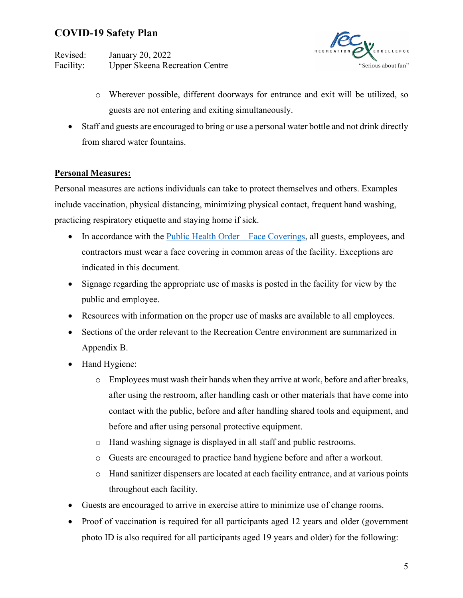Revised: January 20, 2022 Facility: Upper Skeena Recreation Centre



- o Wherever possible, different doorways for entrance and exit will be utilized, so guests are not entering and exiting simultaneously.
- Staff and guests are encouraged to bring or use a personal water bottle and not drink directly from shared water fountains.

### **Personal Measures:**

Personal measures are actions individuals can take to protect themselves and others. Examples include vaccination, physical distancing, minimizing physical contact, frequent hand washing, practicing respiratory etiquette and staying home if sick.

- In accordance with the Public Health Order Face Coverings, all guests, employees, and contractors must wear a face covering in common areas of the facility. Exceptions are indicated in this document.
- Signage regarding the appropriate use of masks is posted in the facility for view by the public and employee.
- Resources with information on the proper use of masks are available to all employees.
- Sections of the order relevant to the Recreation Centre environment are summarized in Appendix B.
- Hand Hygiene:
	- o Employees must wash their hands when they arrive at work, before and after breaks, after using the restroom, after handling cash or other materials that have come into contact with the public, before and after handling shared tools and equipment, and before and after using personal protective equipment.
	- o Hand washing signage is displayed in all staff and public restrooms.
	- o Guests are encouraged to practice hand hygiene before and after a workout.
	- o Hand sanitizer dispensers are located at each facility entrance, and at various points throughout each facility.
- Guests are encouraged to arrive in exercise attire to minimize use of change rooms.
- Proof of vaccination is required for all participants aged 12 years and older (government photo ID is also required for all participants aged 19 years and older) for the following: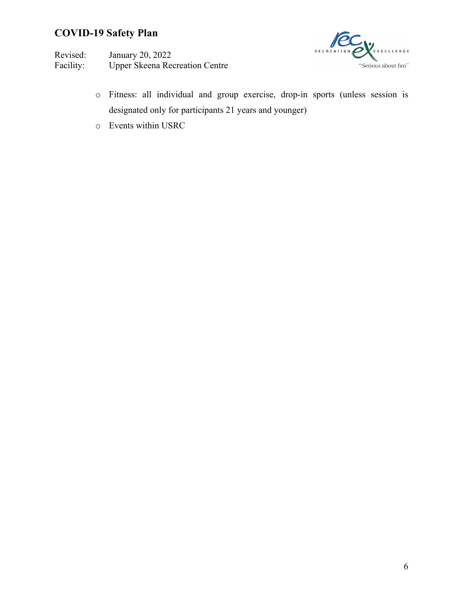Revised: January 20, 2022<br>Facility: Upper Skeena Ree Upper Skeena Recreation Centre



- o Fitness: all individual and group exercise, drop-in sports (unless session is designated only for participants 21 years and younger)
- o Events within USRC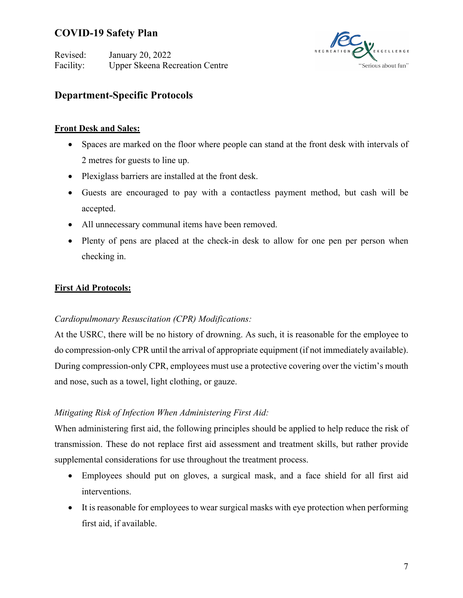Revised: January 20, 2022 Facility: Upper Skeena Recreation Centre



## **Department-Specific Protocols**

#### **Front Desk and Sales:**

- Spaces are marked on the floor where people can stand at the front desk with intervals of 2 metres for guests to line up.
- Plexiglass barriers are installed at the front desk.
- Guests are encouraged to pay with a contactless payment method, but cash will be accepted.
- All unnecessary communal items have been removed.
- Plenty of pens are placed at the check-in desk to allow for one pen per person when checking in.

### **First Aid Protocols:**

### *Cardiopulmonary Resuscitation (CPR) Modifications:*

At the USRC, there will be no history of drowning. As such, it is reasonable for the employee to do compression-only CPR until the arrival of appropriate equipment (if not immediately available). During compression-only CPR, employees must use a protective covering over the victim's mouth and nose, such as a towel, light clothing, or gauze.

### *Mitigating Risk of Infection When Administering First Aid:*

When administering first aid, the following principles should be applied to help reduce the risk of transmission. These do not replace first aid assessment and treatment skills, but rather provide supplemental considerations for use throughout the treatment process.

- Employees should put on gloves, a surgical mask, and a face shield for all first aid interventions.
- It is reasonable for employees to wear surgical masks with eye protection when performing first aid, if available.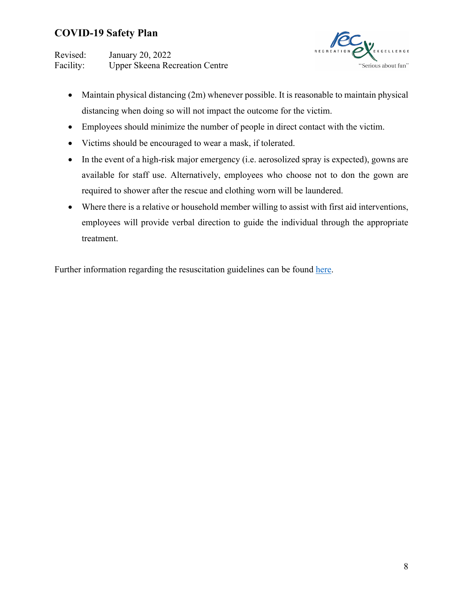Revised: January 20, 2022 Facility: Upper Skeena Recreation Centre



- Maintain physical distancing (2m) whenever possible. It is reasonable to maintain physical distancing when doing so will not impact the outcome for the victim.
- Employees should minimize the number of people in direct contact with the victim.
- Victims should be encouraged to wear a mask, if tolerated.
- In the event of a high-risk major emergency (i.e. aerosolized spray is expected), gowns are available for staff use. Alternatively, employees who choose not to don the gown are required to shower after the rescue and clothing worn will be laundered.
- Where there is a relative or household member willing to assist with first aid interventions, employees will provide verbal direction to guide the individual through the appropriate treatment.

Further information regarding the resuscitation guidelines can be found here.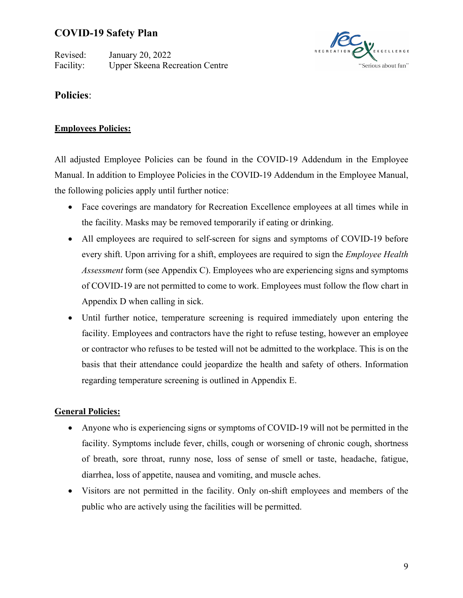Revised: January 20, 2022 Facility: Upper Skeena Recreation Centre



### **Policies**:

### **Employees Policies:**

All adjusted Employee Policies can be found in the COVID-19 Addendum in the Employee Manual. In addition to Employee Policies in the COVID-19 Addendum in the Employee Manual, the following policies apply until further notice:

- Face coverings are mandatory for Recreation Excellence employees at all times while in the facility. Masks may be removed temporarily if eating or drinking.
- All employees are required to self-screen for signs and symptoms of COVID-19 before every shift. Upon arriving for a shift, employees are required to sign the *Employee Health Assessment* form (see Appendix C). Employees who are experiencing signs and symptoms of COVID-19 are not permitted to come to work. Employees must follow the flow chart in Appendix D when calling in sick.
- Until further notice, temperature screening is required immediately upon entering the facility. Employees and contractors have the right to refuse testing, however an employee or contractor who refuses to be tested will not be admitted to the workplace. This is on the basis that their attendance could jeopardize the health and safety of others. Information regarding temperature screening is outlined in Appendix E.

### **General Policies:**

- Anyone who is experiencing signs or symptoms of COVID-19 will not be permitted in the facility. Symptoms include fever, chills, cough or worsening of chronic cough, shortness of breath, sore throat, runny nose, loss of sense of smell or taste, headache, fatigue, diarrhea, loss of appetite, nausea and vomiting, and muscle aches.
- Visitors are not permitted in the facility. Only on-shift employees and members of the public who are actively using the facilities will be permitted.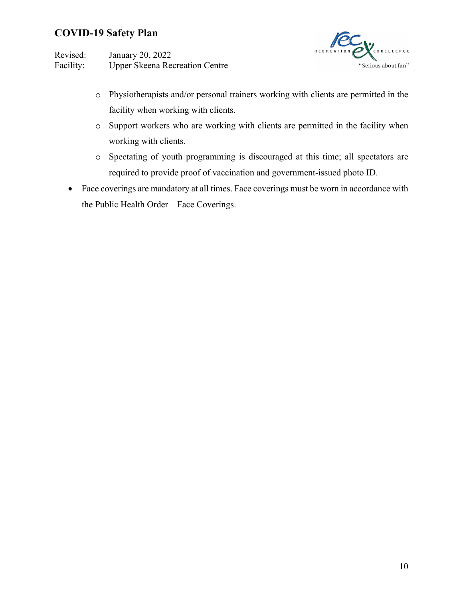Revised: January 20, 2022 Facility: Upper Skeena Recreation Centre



- o Physiotherapists and/or personal trainers working with clients are permitted in the facility when working with clients.
- o Support workers who are working with clients are permitted in the facility when working with clients.
- o Spectating of youth programming is discouraged at this time; all spectators are required to provide proof of vaccination and government-issued photo ID.
- Face coverings are mandatory at all times. Face coverings must be worn in accordance with the Public Health Order – Face Coverings.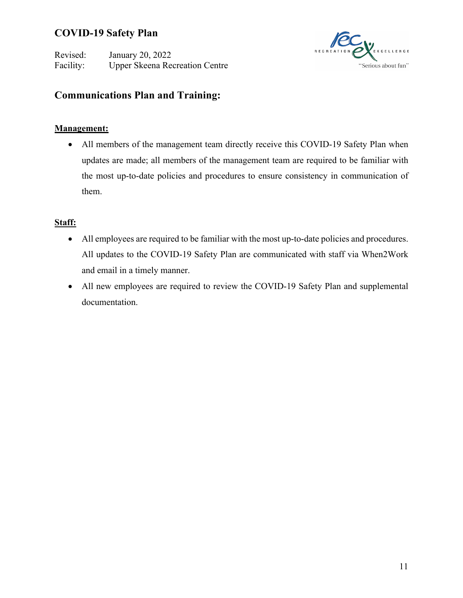Revised: January 20, 2022 Facility: Upper Skeena Recreation Centre



## **Communications Plan and Training:**

### **Management:**

• All members of the management team directly receive this COVID-19 Safety Plan when updates are made; all members of the management team are required to be familiar with the most up-to-date policies and procedures to ensure consistency in communication of them.

### **Staff:**

- All employees are required to be familiar with the most up-to-date policies and procedures. All updates to the COVID-19 Safety Plan are communicated with staff via When2Work and email in a timely manner.
- All new employees are required to review the COVID-19 Safety Plan and supplemental documentation.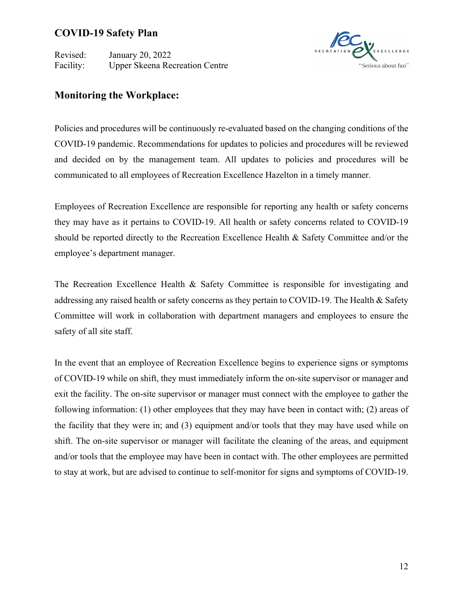Revised: January 20, 2022 Facility: Upper Skeena Recreation Centre



### **Monitoring the Workplace:**

Policies and procedures will be continuously re-evaluated based on the changing conditions of the COVID-19 pandemic. Recommendations for updates to policies and procedures will be reviewed and decided on by the management team. All updates to policies and procedures will be communicated to all employees of Recreation Excellence Hazelton in a timely manner.

Employees of Recreation Excellence are responsible for reporting any health or safety concerns they may have as it pertains to COVID-19. All health or safety concerns related to COVID-19 should be reported directly to the Recreation Excellence Health & Safety Committee and/or the employee's department manager.

The Recreation Excellence Health & Safety Committee is responsible for investigating and addressing any raised health or safety concerns as they pertain to COVID-19. The Health & Safety Committee will work in collaboration with department managers and employees to ensure the safety of all site staff.

In the event that an employee of Recreation Excellence begins to experience signs or symptoms of COVID-19 while on shift, they must immediately inform the on-site supervisor or manager and exit the facility. The on-site supervisor or manager must connect with the employee to gather the following information: (1) other employees that they may have been in contact with; (2) areas of the facility that they were in; and (3) equipment and/or tools that they may have used while on shift. The on-site supervisor or manager will facilitate the cleaning of the areas, and equipment and/or tools that the employee may have been in contact with. The other employees are permitted to stay at work, but are advised to continue to self-monitor for signs and symptoms of COVID-19.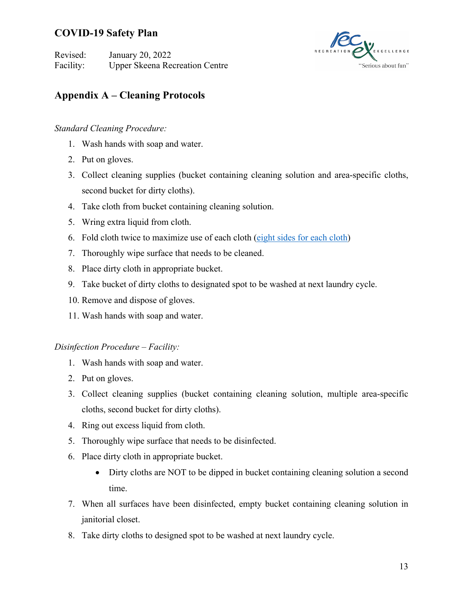Revised: January 20, 2022 Facility: Upper Skeena Recreation Centre



## **Appendix A – Cleaning Protocols**

### *Standard Cleaning Procedure:*

- 1. Wash hands with soap and water.
- 2. Put on gloves.
- 3. Collect cleaning supplies (bucket containing cleaning solution and area-specific cloths, second bucket for dirty cloths).
- 4. Take cloth from bucket containing cleaning solution.
- 5. Wring extra liquid from cloth.
- 6. Fold cloth twice to maximize use of each cloth (eight sides for each cloth)
- 7. Thoroughly wipe surface that needs to be cleaned.
- 8. Place dirty cloth in appropriate bucket.
- 9. Take bucket of dirty cloths to designated spot to be washed at next laundry cycle.
- 10. Remove and dispose of gloves.
- 11. Wash hands with soap and water.

### *Disinfection Procedure – Facility:*

- 1. Wash hands with soap and water.
- 2. Put on gloves.
- 3. Collect cleaning supplies (bucket containing cleaning solution, multiple area-specific cloths, second bucket for dirty cloths).
- 4. Ring out excess liquid from cloth.
- 5. Thoroughly wipe surface that needs to be disinfected.
- 6. Place dirty cloth in appropriate bucket.
	- Dirty cloths are NOT to be dipped in bucket containing cleaning solution a second time.
- 7. When all surfaces have been disinfected, empty bucket containing cleaning solution in janitorial closet.
- 8. Take dirty cloths to designed spot to be washed at next laundry cycle.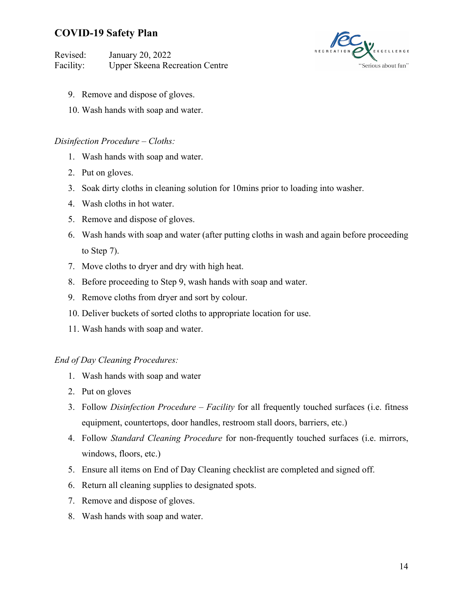Revised: January 20, 2022 Facility: Upper Skeena Recreation Centre



- 9. Remove and dispose of gloves.
- 10. Wash hands with soap and water.

#### *Disinfection Procedure – Cloths:*

- 1. Wash hands with soap and water.
- 2. Put on gloves.
- 3. Soak dirty cloths in cleaning solution for 10mins prior to loading into washer.
- 4. Wash cloths in hot water.
- 5. Remove and dispose of gloves.
- 6. Wash hands with soap and water (after putting cloths in wash and again before proceeding to Step 7).
- 7. Move cloths to dryer and dry with high heat.
- 8. Before proceeding to Step 9, wash hands with soap and water.
- 9. Remove cloths from dryer and sort by colour.
- 10. Deliver buckets of sorted cloths to appropriate location for use.
- 11. Wash hands with soap and water.

#### *End of Day Cleaning Procedures:*

- 1. Wash hands with soap and water
- 2. Put on gloves
- 3. Follow *Disinfection Procedure – Facility* for all frequently touched surfaces (i.e. fitness equipment, countertops, door handles, restroom stall doors, barriers, etc.)
- 4. Follow *Standard Cleaning Procedure* for non-frequently touched surfaces (i.e. mirrors, windows, floors, etc.)
- 5. Ensure all items on End of Day Cleaning checklist are completed and signed off.
- 6. Return all cleaning supplies to designated spots.
- 7. Remove and dispose of gloves.
- 8. Wash hands with soap and water.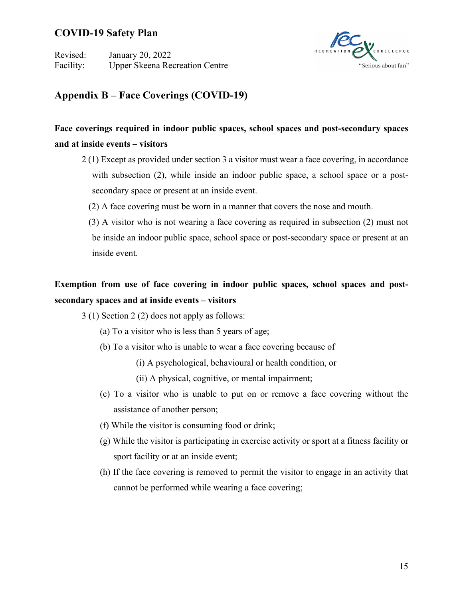Revised: January 20, 2022 Facility: Upper Skeena Recreation Centre



## **Appendix B – Face Coverings (COVID-19)**

## **Face coverings required in indoor public spaces, school spaces and post-secondary spaces and at inside events – visitors**

- 2 (1) Except as provided under section 3 a visitor must wear a face covering, in accordance with subsection (2), while inside an indoor public space, a school space or a postsecondary space or present at an inside event.
	- (2) A face covering must be worn in a manner that covers the nose and mouth.
	- (3) A visitor who is not wearing a face covering as required in subsection (2) must not be inside an indoor public space, school space or post-secondary space or present at an inside event.

## **Exemption from use of face covering in indoor public spaces, school spaces and postsecondary spaces and at inside events – visitors**

- 3 (1) Section 2 (2) does not apply as follows:
	- (a) To a visitor who is less than 5 years of age;
	- (b) To a visitor who is unable to wear a face covering because of
		- (i) A psychological, behavioural or health condition, or
		- (ii) A physical, cognitive, or mental impairment;
	- (c) To a visitor who is unable to put on or remove a face covering without the assistance of another person;
	- (f) While the visitor is consuming food or drink;
	- (g) While the visitor is participating in exercise activity or sport at a fitness facility or sport facility or at an inside event;
	- (h) If the face covering is removed to permit the visitor to engage in an activity that cannot be performed while wearing a face covering;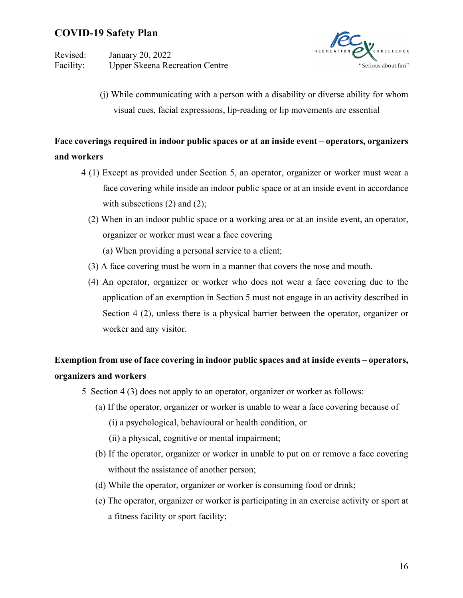Revised: January 20, 2022 Facility: Upper Skeena Recreation Centre



(j) While communicating with a person with a disability or diverse ability for whom visual cues, facial expressions, lip-reading or lip movements are essential

## **Face coverings required in indoor public spaces or at an inside event – operators, organizers and workers**

- 4 (1) Except as provided under Section 5, an operator, organizer or worker must wear a face covering while inside an indoor public space or at an inside event in accordance with subsections (2) and (2);
	- (2) When in an indoor public space or a working area or at an inside event, an operator, organizer or worker must wear a face covering
		- (a) When providing a personal service to a client;
	- (3) A face covering must be worn in a manner that covers the nose and mouth.
	- (4) An operator, organizer or worker who does not wear a face covering due to the application of an exemption in Section 5 must not engage in an activity described in Section 4 (2), unless there is a physical barrier between the operator, organizer or worker and any visitor.

## **Exemption from use of face covering in indoor public spaces and at inside events – operators, organizers and workers**

- 5 Section 4 (3) does not apply to an operator, organizer or worker as follows:
	- (a) If the operator, organizer or worker is unable to wear a face covering because of
		- (i) a psychological, behavioural or health condition, or
		- (ii) a physical, cognitive or mental impairment;
	- (b) If the operator, organizer or worker in unable to put on or remove a face covering without the assistance of another person;
	- (d) While the operator, organizer or worker is consuming food or drink;
	- (e) The operator, organizer or worker is participating in an exercise activity or sport at a fitness facility or sport facility;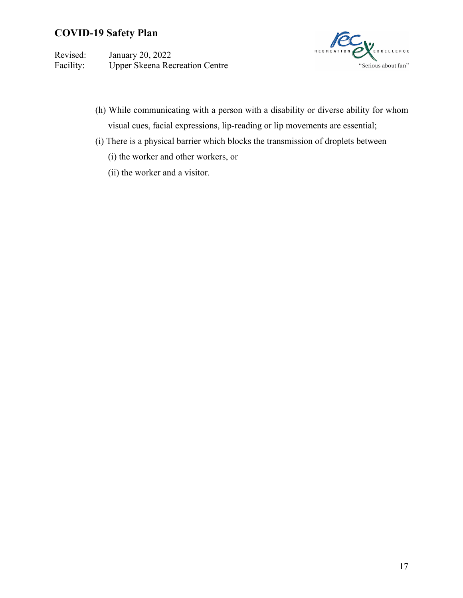Revised: January 20, 2022 Facility: Upper Skeena Recreation Centre



- (h) While communicating with a person with a disability or diverse ability for whom visual cues, facial expressions, lip-reading or lip movements are essential;
- (i) There is a physical barrier which blocks the transmission of droplets between
	- (i) the worker and other workers, or
	- (ii) the worker and a visitor.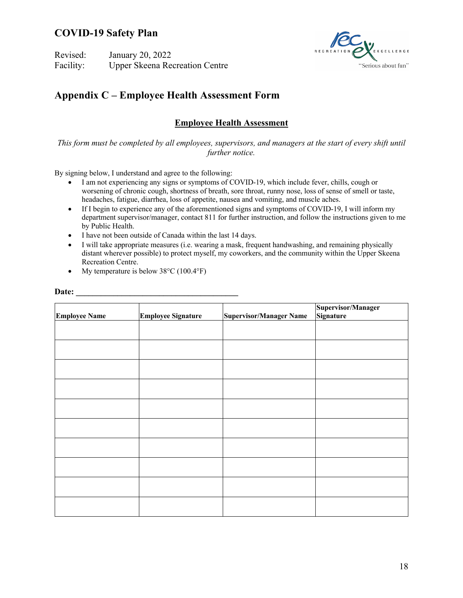Revised: January 20, 2022 Facility: Upper Skeena Recreation Centre



## **Appendix C – Employee Health Assessment Form**

#### **Employee Health Assessment**

*This form must be completed by all employees, supervisors, and managers at the start of every shift until further notice.*

By signing below, I understand and agree to the following:

- I am not experiencing any signs or symptoms of COVID-19, which include fever, chills, cough or worsening of chronic cough, shortness of breath, sore throat, runny nose, loss of sense of smell or taste, headaches, fatigue, diarrhea, loss of appetite, nausea and vomiting, and muscle aches.
- If I begin to experience any of the aforementioned signs and symptoms of COVID-19, I will inform my department supervisor/manager, contact 811 for further instruction, and follow the instructions given to me by Public Health.
- I have not been outside of Canada within the last 14 days.
- I will take appropriate measures (i.e. wearing a mask, frequent handwashing, and remaining physically distant wherever possible) to protect myself, my coworkers, and the community within the Upper Skeena Recreation Centre.
- My temperature is below  $38^{\circ}$ C (100.4 $^{\circ}$ F)

|                      | <b>Employee Signature</b> | <b>Supervisor/Manager Name</b> | Supervisor/Manager<br>Signature |
|----------------------|---------------------------|--------------------------------|---------------------------------|
| <b>Employee Name</b> |                           |                                |                                 |
|                      |                           |                                |                                 |
|                      |                           |                                |                                 |
|                      |                           |                                |                                 |
|                      |                           |                                |                                 |
|                      |                           |                                |                                 |
|                      |                           |                                |                                 |
|                      |                           |                                |                                 |
|                      |                           |                                |                                 |
|                      |                           |                                |                                 |
|                      |                           |                                |                                 |
|                      |                           |                                |                                 |

Date: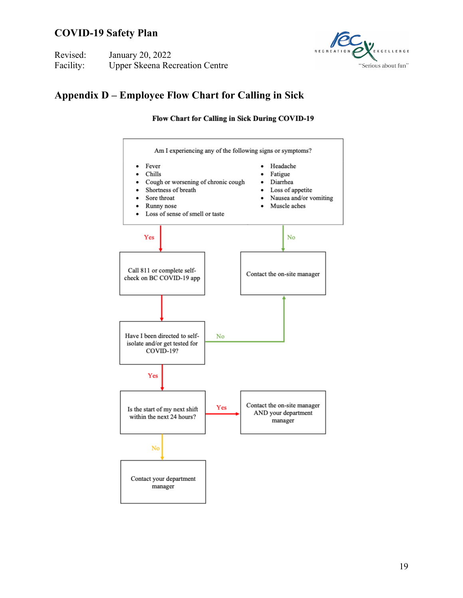| Revised:  | January 20, 2022                      |
|-----------|---------------------------------------|
| Facility: | <b>Upper Skeena Recreation Centre</b> |



## **Appendix D – Employee Flow Chart for Calling in Sick**

Flow Chart for Calling in Sick During COVID-19

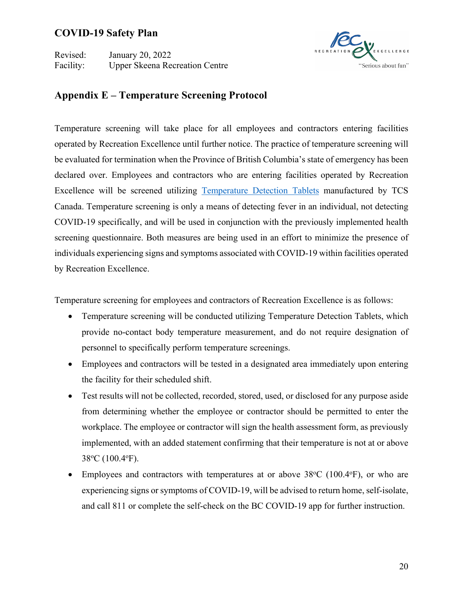Revised: January 20, 2022 Facility: Upper Skeena Recreation Centre



### **Appendix E – Temperature Screening Protocol**

Temperature screening will take place for all employees and contractors entering facilities operated by Recreation Excellence until further notice. The practice of temperature screening will be evaluated for termination when the Province of British Columbia's state of emergency has been declared over. Employees and contractors who are entering facilities operated by Recreation Excellence will be screened utilizing Temperature Detection Tablets manufactured by TCS Canada. Temperature screening is only a means of detecting fever in an individual, not detecting COVID-19 specifically, and will be used in conjunction with the previously implemented health screening questionnaire. Both measures are being used in an effort to minimize the presence of individuals experiencing signs and symptoms associated with COVID-19 within facilities operated by Recreation Excellence.

Temperature screening for employees and contractors of Recreation Excellence is as follows:

- Temperature screening will be conducted utilizing Temperature Detection Tablets, which provide no-contact body temperature measurement, and do not require designation of personnel to specifically perform temperature screenings.
- Employees and contractors will be tested in a designated area immediately upon entering the facility for their scheduled shift.
- Test results will not be collected, recorded, stored, used, or disclosed for any purpose aside from determining whether the employee or contractor should be permitted to enter the workplace. The employee or contractor will sign the health assessment form, as previously implemented, with an added statement confirming that their temperature is not at or above 38°C (100.4°F).
- Employees and contractors with temperatures at or above  $38^{\circ}$ C (100.4 $^{\circ}$ F), or who are experiencing signs or symptoms of COVID-19, will be advised to return home, self-isolate, and call 811 or complete the self-check on the BC COVID-19 app for further instruction.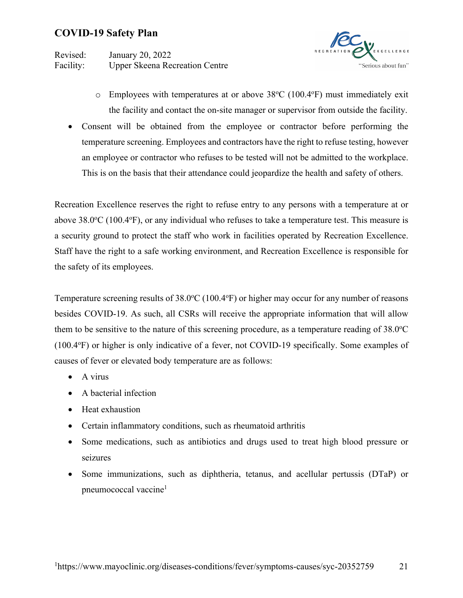Revised: January 20, 2022 Facility: Upper Skeena Recreation Centre



- $\circ$  Employees with temperatures at or above 38°C (100.4°F) must immediately exit the facility and contact the on-site manager or supervisor from outside the facility.
- Consent will be obtained from the employee or contractor before performing the temperature screening. Employees and contractors have the right to refuse testing, however an employee or contractor who refuses to be tested will not be admitted to the workplace. This is on the basis that their attendance could jeopardize the health and safety of others.

Recreation Excellence reserves the right to refuse entry to any persons with a temperature at or above  $38.0^{\circ}$ C (100.4 $^{\circ}$ F), or any individual who refuses to take a temperature test. This measure is a security ground to protect the staff who work in facilities operated by Recreation Excellence. Staff have the right to a safe working environment, and Recreation Excellence is responsible for the safety of its employees.

Temperature screening results of 38.0°C (100.4°F) or higher may occur for any number of reasons besides COVID-19. As such, all CSRs will receive the appropriate information that will allow them to be sensitive to the nature of this screening procedure, as a temperature reading of  $38.0^{\circ}$ C (100.4o F) or higher is only indicative of a fever, not COVID-19 specifically. Some examples of causes of fever or elevated body temperature are as follows:

- A virus
- A bacterial infection
- Heat exhaustion
- Certain inflammatory conditions, such as rheumatoid arthritis
- Some medications, such as antibiotics and drugs used to treat high blood pressure or seizures
- Some immunizations, such as diphtheria, tetanus, and acellular pertussis (DTaP) or pneumococcal vaccine<sup>1</sup>